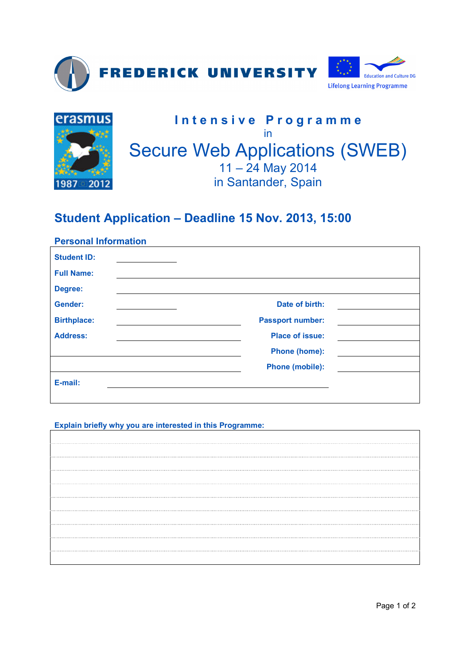



## **Student Application – Deadline 15 Nov. 2013, 15:00**

## **Personal Information**

| <b>Student ID:</b> |                         |
|--------------------|-------------------------|
| <b>Full Name:</b>  |                         |
| Degree:            |                         |
| Gender:            | Date of birth:          |
| <b>Birthplace:</b> | <b>Passport number:</b> |
| <b>Address:</b>    | <b>Place of issue:</b>  |
|                    | <b>Phone (home):</b>    |
|                    | <b>Phone (mobile):</b>  |
| E-mail:            |                         |
|                    |                         |

## **Explain briefly why you are interested in this Programme:**